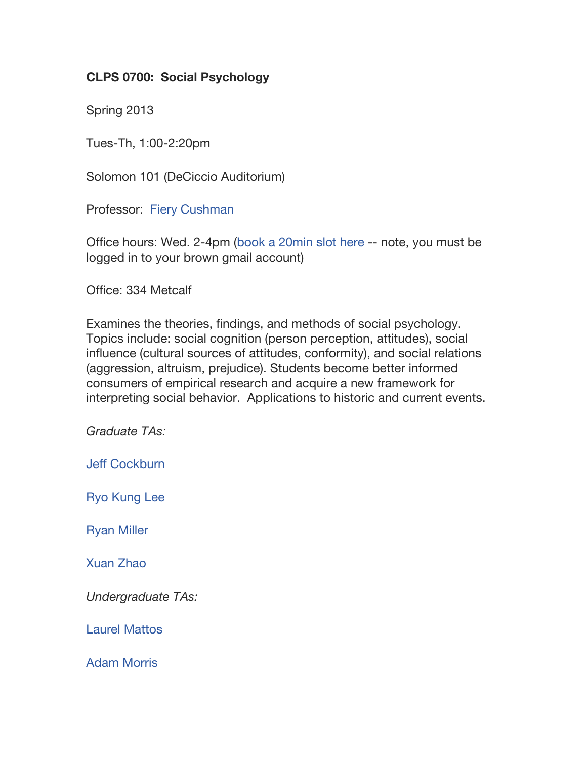# **CLPS 0700: Social Psychology**

Spring 2013

Tues-Th, 1:00-2:20pm

Solomon 101 (DeCiccio Auditorium)

Professor: Fiery Cushman

Office hours: Wed. 2-4pm (book a 20min slot here -- note, you must be logged in to your brown gmail account)

Office: 334 Metcalf

Examines the theories, findings, and methods of social psychology. Topics include: social cognition (person perception, attitudes), social influence (cultural sources of attitudes, conformity), and social relations (aggression, altruism, prejudice). Students become better informed consumers of empirical research and acquire a new framework for interpreting social behavior. Applications to historic and current events.

*Graduate TAs:*

Jeff Cockburn

Ryo Kung Lee

Ryan Miller

Xuan Zhao

*Undergraduate TAs:*

Laurel Mattos

Adam Morris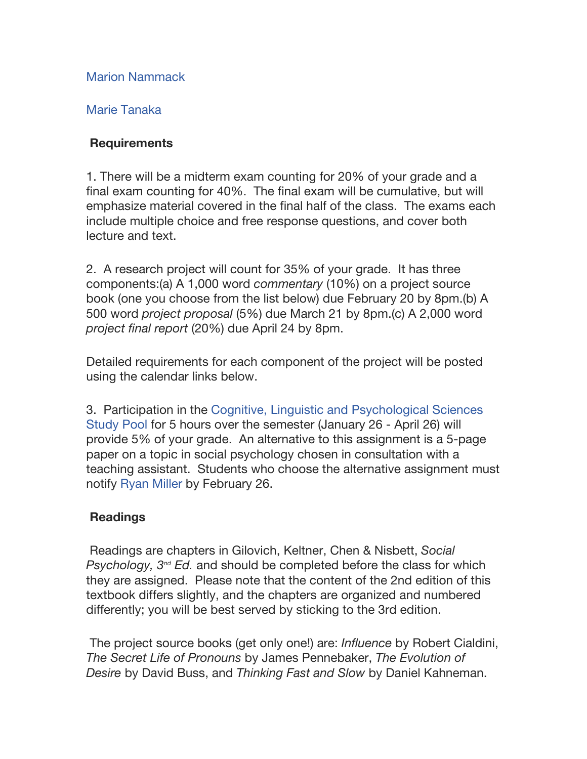Marion Nammack

# Marie Tanaka

## **Requirements**

1. There will be a midterm exam counting for 20% of your grade and a final exam counting for 40%. The final exam will be cumulative, but will emphasize material covered in the final half of the class. The exams each include multiple choice and free response questions, and cover both lecture and text.

2. A research project will count for 35% of your grade. It has three components:(a) A 1,000 word *commentary* (10%) on a project source book (one you choose from the list below) due February 20 by 8pm.(b) A 500 word *project proposal* (5%) due March 21 by 8pm.(c) A 2,000 word *project final report* (20%) due April 24 by 8pm.

Detailed requirements for each component of the project will be posted using the calendar links below.

3. Participation in the Cognitive, Linguistic and Psychological Sciences Study Pool for 5 hours over the semester (January 26 - April 26) will provide 5% of your grade. An alternative to this assignment is a 5-page paper on a topic in social psychology chosen in consultation with a teaching assistant. Students who choose the alternative assignment must notify Ryan Miller by February 26.

# **Readings**

Readings are chapters in Gilovich, Keltner, Chen & Nisbett, *Social Psychology, 3nd Ed.* and should be completed before the class for which they are assigned. Please note that the content of the 2nd edition of this textbook differs slightly, and the chapters are organized and numbered differently; you will be best served by sticking to the 3rd edition.

The project source books (get only one!) are: *Influence* by Robert Cialdini, *The Secret Life of Pronouns* by James Pennebaker, *The Evolution of Desire* by David Buss, and *Thinking Fast and Slow* by Daniel Kahneman.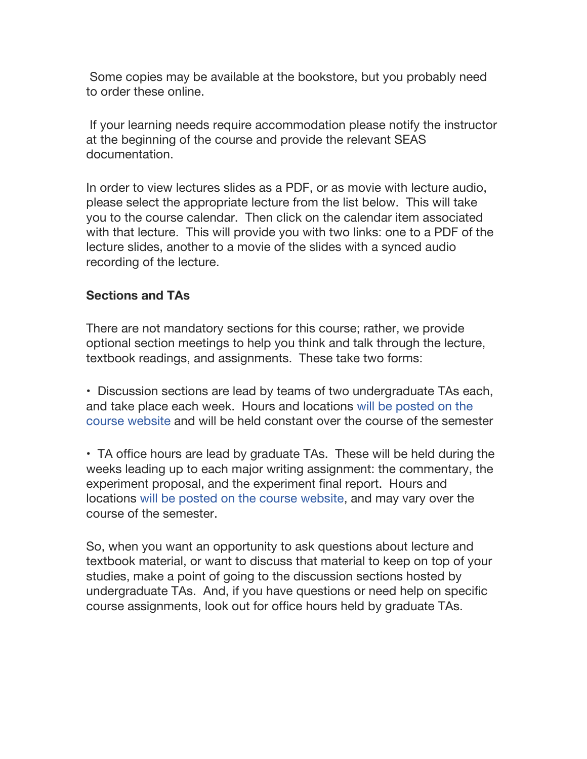Some copies may be available at the bookstore, but you probably need to order these online.

If your learning needs require accommodation please notify the instructor at the beginning of the course and provide the relevant SEAS documentation.

In order to view lectures slides as a PDF, or as movie with lecture audio, please select the appropriate lecture from the list below. This will take you to the course calendar. Then click on the calendar item associated with that lecture. This will provide you with two links: one to a PDF of the lecture slides, another to a movie of the slides with a synced audio recording of the lecture.

### **Sections and TAs**

There are not mandatory sections for this course; rather, we provide optional section meetings to help you think and talk through the lecture, textbook readings, and assignments. These take two forms:

• Discussion sections are lead by teams of two undergraduate TAs each, and take place each week. Hours and locations will be posted on the course website and will be held constant over the course of the semester

• TA office hours are lead by graduate TAs. These will be held during the weeks leading up to each major writing assignment: the commentary, the experiment proposal, and the experiment final report. Hours and locations will be posted on the course website, and may vary over the course of the semester.

So, when you want an opportunity to ask questions about lecture and textbook material, or want to discuss that material to keep on top of your studies, make a point of going to the discussion sections hosted by undergraduate TAs. And, if you have questions or need help on specific course assignments, look out for office hours held by graduate TAs.